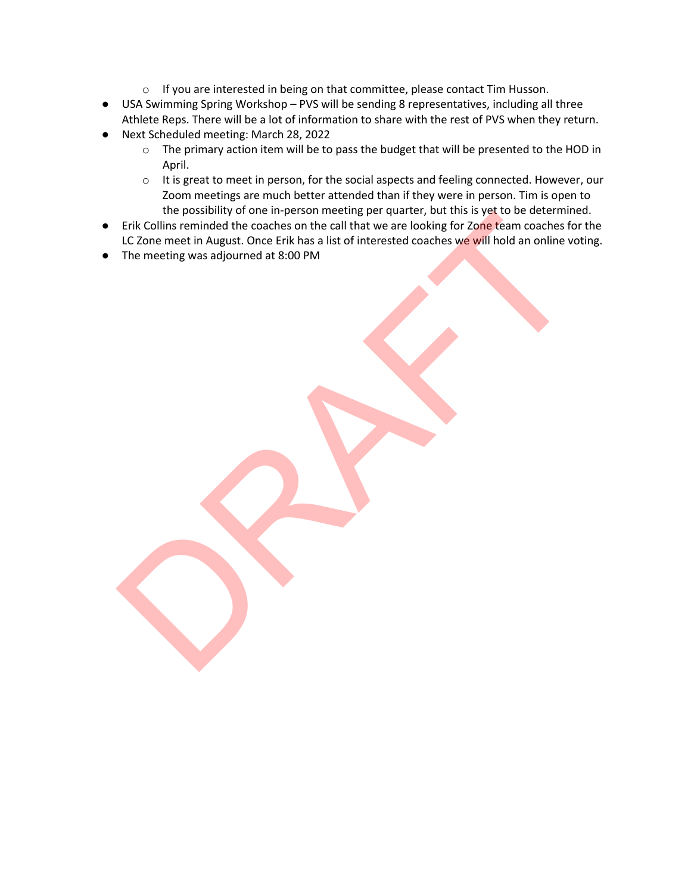- o If you are interested in being on that committee, please contact Tim Husson.
- USA Swimming Spring Workshop PVS will be sending 8 representatives, including all three Athlete Reps. There will be a lot of information to share with the rest of PVS when they return.
- Next Scheduled meeting: March 28, 2022
	- o The primary action item will be to pass the budget that will be presented to the HOD in April.
	- o It is great to meet in person, for the social aspects and feeling connected. However, our Zoom meetings are much better attended than if they were in person. Tim is open to the possibility of one in-person meeting per quarter, but this is yet to be determined.
- Erik Collins reminded the coaches on the call that we are looking for Zone team coaches for the LC Zone meet in August. Once Erik has a list of interested coaches we will hold an online voting.
- The meeting was adjourned at 8:00 PM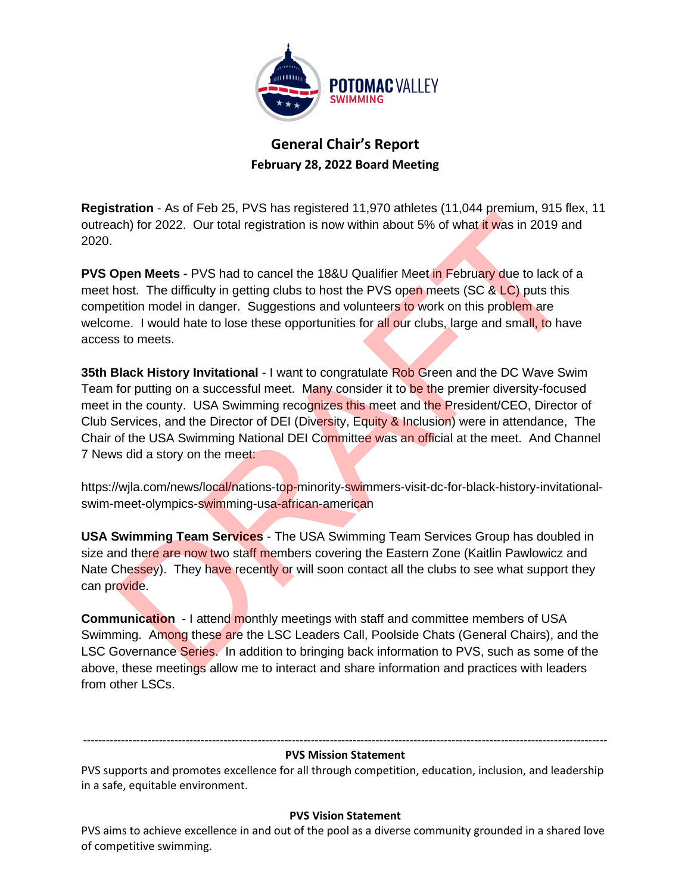

**General Chair's Report February 28, 2022 Board Meeting**

**Registration** - As of Feb 25, PVS has registered 11,970 athletes (11,044 premium, 915 flex, 11 outreach) for 2022. Our total registration is now within about 5% of what it was in 2019 and 2020.

**PVS Open Meets** - PVS had to cancel the 18&U Qualifier Meet in February due to lack of a meet host. The difficulty in getting clubs to host the PVS open meets (SC & LC) puts this competition model in danger. Suggestions and volunteers to work on this problem are welcome. I would hate to lose these opportunities for all our clubs, large and small, to have access to meets.

**35th Black History Invitational** - I want to congratulate Rob Green and the DC Wave Swim Team for putting on a successful meet. Many consider it to be the premier diversity-focused meet in the county. USA Swimming recognizes this meet and the President/CEO, Director of Club Services, and the Director of DEI (Diversity, Equity & Inclusion) were in attendance, The Chair of the USA Swimming National DEI Committee was an official at the meet. And Channel 7 News did a story on the meet:

https://wjla.com/news/local/nations-top-minority-swimmers-visit-dc-for-black-history-invitationalswim-meet-olympics-swimming-usa-african-american

**USA Swimming Team Services** - The USA Swimming Team Services Group has doubled in size and there are now two staff members covering the Eastern Zone (Kaitlin Pawlowicz and Nate Chessey). They have recently or will soon contact all the clubs to see what support they can provide.

**Communication** - I attend monthly meetings with staff and committee members of USA Swimming. Among these are the LSC Leaders Call, Poolside Chats (General Chairs), and the LSC Governance Series. In addition to bringing back information to PVS, such as some of the above, these meetings allow me to interact and share information and practices with leaders from other LSCs.

### ------------------------------------------------------------------------------------------------------------------------------------------ **PVS Mission Statement**

PVS supports and promotes excellence for all through competition, education, inclusion, and leadership in a safe, equitable environment.

### **PVS Vision Statement**

PVS aims to achieve excellence in and out of the pool as a diverse community grounded in a shared love of competitive swimming.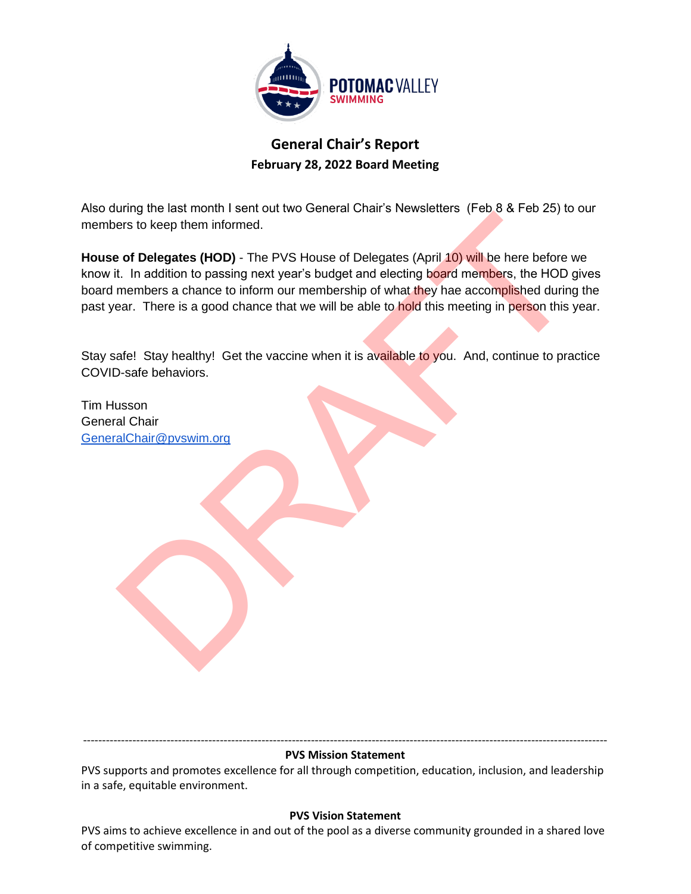

# **General Chair's Report February 28, 2022 Board Meeting**

Also during the last month I sent out two General Chair's Newsletters (Feb 8 & Feb 25) to our members to keep them informed.

**House of Delegates (HOD)** - The PVS House of Delegates (April 10) will be here before we know it. In addition to passing next year's budget and electing board members, the HOD gives board members a chance to inform our membership of what they hae accomplished during the past year. There is a good chance that we will be able to hold this meeting in person this year.

Stay safe! Stay healthy! Get the vaccine when it is available to you. And, continue to practice COVID-safe behaviors.

Tim Husson General Chair [GeneralChair@pvswim.org](mailto:GeneralChair@pvswim.org)

#### ------------------------------------------------------------------------------------------------------------------------------------------ **PVS Mission Statement**

PVS supports and promotes excellence for all through competition, education, inclusion, and leadership in a safe, equitable environment.

### **PVS Vision Statement**

PVS aims to achieve excellence in and out of the pool as a diverse community grounded in a shared love of competitive swimming.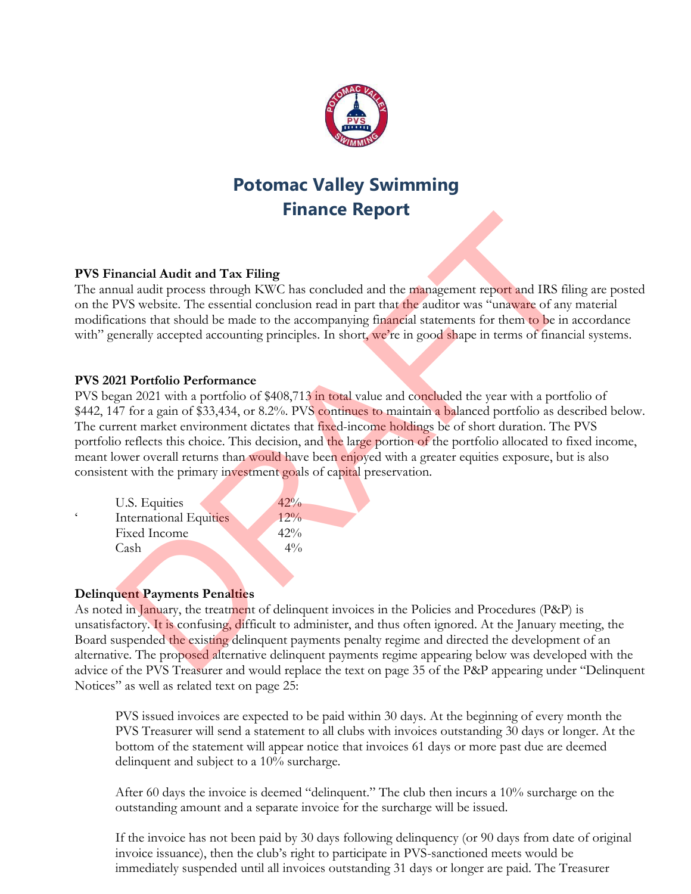

# **Potomac Valley Swimming Finance Report**

## **PVS Financial Audit and Tax Filing**

The annual audit process through KWC has concluded and the management report and IRS filing are posted on the PVS website. The essential conclusion read in part that the auditor was "unaware of any material modifications that should be made to the accompanying financial statements for them to be in accordance with" generally accepted accounting principles. In short, we're in good shape in terms of financial systems.

## **PVS 2021 Portfolio Performance**

PVS began 2021 with a portfolio of \$408,713 in total value and concluded the year with a portfolio of \$442, 147 for a gain of \$33,434, or 8.2%. PVS continues to maintain a balanced portfolio as described below. The current market environment dictates that fixed-income holdings be of short duration. The PVS portfolio reflects this choice. This decision, and the large portion of the portfolio allocated to fixed income, meant lower overall returns than would have been enjoyed with a greater equities exposure, but is also consistent with the primary investment goals of capital preservation.

|   | U.S. Equities                 | $42\%$ |
|---|-------------------------------|--------|
| c | <b>International Equities</b> | $12\%$ |
|   | Fixed Income                  | $42\%$ |
|   | Cash                          | $4\%$  |

## **Delinquent Payments Penalties**

As noted in January, the treatment of delinquent invoices in the Policies and Procedures (P&P) is unsatisfactory. It is confusing, difficult to administer, and thus often ignored. At the January meeting, the Board suspended the existing delinquent payments penalty regime and directed the development of an alternative. The proposed alternative delinquent payments regime appearing below was developed with the advice of the PVS Treasurer and would replace the text on page 35 of the P&P appearing under "Delinquent Notices" as well as related text on page 25:

PVS issued invoices are expected to be paid within 30 days. At the beginning of every month the PVS Treasurer will send a statement to all clubs with invoices outstanding 30 days or longer. At the bottom of the statement will appear notice that invoices 61 days or more past due are deemed delinquent and subject to a 10% surcharge.

After 60 days the invoice is deemed "delinquent." The club then incurs a 10% surcharge on the outstanding amount and a separate invoice for the surcharge will be issued.

If the invoice has not been paid by 30 days following delinquency (or 90 days from date of original invoice issuance), then the club's right to participate in PVS-sanctioned meets would be immediately suspended until all invoices outstanding 31 days or longer are paid. The Treasurer